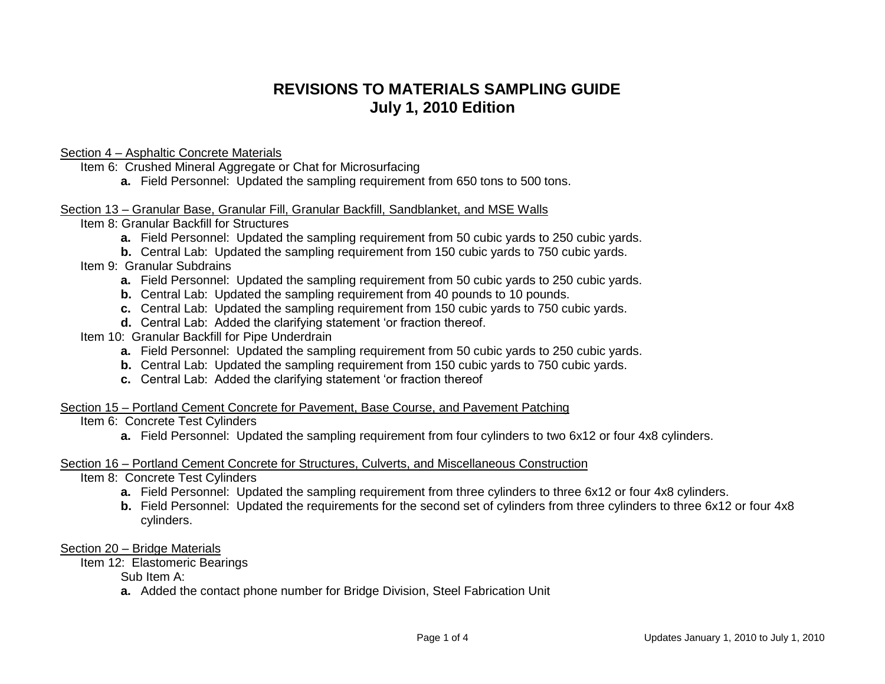# **REVISIONS TO MATERIALS SAMPLING GUIDE July 1, 2010 Edition**

# Section 4 – Asphaltic Concrete Materials

Item 6: Crushed Mineral Aggregate or Chat for Microsurfacing

**a.** Field Personnel: Updated the sampling requirement from 650 tons to 500 tons.

# Section 13 – Granular Base, Granular Fill, Granular Backfill, Sandblanket, and MSE Walls

Item 8: Granular Backfill for Structures

**a.** Field Personnel: Updated the sampling requirement from 50 cubic yards to 250 cubic yards.

**b.** Central Lab: Updated the sampling requirement from 150 cubic yards to 750 cubic yards.

# Item 9: Granular Subdrains

- **a.** Field Personnel: Updated the sampling requirement from 50 cubic yards to 250 cubic yards.
- **b.** Central Lab: Updated the sampling requirement from 40 pounds to 10 pounds.
- **c.** Central Lab: Updated the sampling requirement from 150 cubic yards to 750 cubic yards.
- **d.** Central Lab: Added the clarifying statement 'or fraction thereof.
- Item 10: Granular Backfill for Pipe Underdrain
	- **a.** Field Personnel: Updated the sampling requirement from 50 cubic yards to 250 cubic yards.
	- **b.** Central Lab: Updated the sampling requirement from 150 cubic yards to 750 cubic yards.
	- **c.** Central Lab: Added the clarifying statement 'or fraction thereof

# Section 15 – Portland Cement Concrete for Pavement, Base Course, and Pavement Patching

# Item 6: Concrete Test Cylinders

**a.** Field Personnel: Updated the sampling requirement from four cylinders to two 6x12 or four 4x8 cylinders.

#### Section 16 – Portland Cement Concrete for Structures, Culverts, and Miscellaneous Construction

Item 8: Concrete Test Cylinders

- **a.** Field Personnel: Updated the sampling requirement from three cylinders to three 6x12 or four 4x8 cylinders.
- **b.** Field Personnel: Updated the requirements for the second set of cylinders from three cylinders to three 6x12 or four 4x8 cylinders.

#### Section 20 – Bridge Materials

Item 12: Elastomeric Bearings

Sub Item A:

**a.** Added the contact phone number for Bridge Division, Steel Fabrication Unit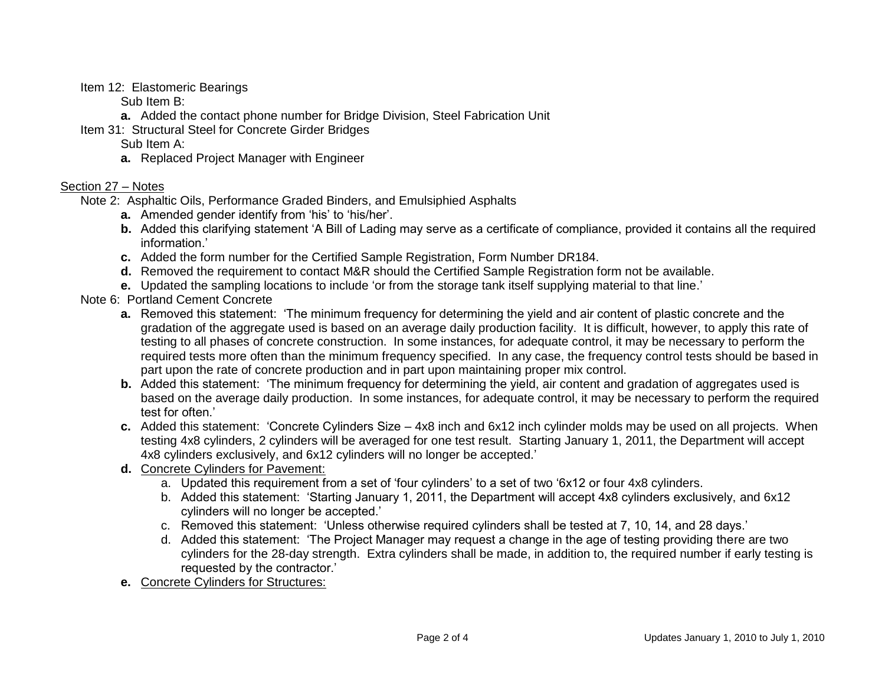Item 12: Elastomeric Bearings

Sub Item B:

**a.** Added the contact phone number for Bridge Division, Steel Fabrication Unit

Item 31: Structural Steel for Concrete Girder Bridges

Sub Item A:

**a.** Replaced Project Manager with Engineer

# Section 27 – Notes

Note 2: Asphaltic Oils, Performance Graded Binders, and Emulsiphied Asphalts

- **a.** Amended gender identify from 'his' to 'his/her'.
- **b.** Added this clarifying statement 'A Bill of Lading may serve as a certificate of compliance, provided it contains all the required information.'
- **c.** Added the form number for the Certified Sample Registration, Form Number DR184.
- **d.** Removed the requirement to contact M&R should the Certified Sample Registration form not be available.
- **e.** Updated the sampling locations to include 'or from the storage tank itself supplying material to that line.'
- Note 6: Portland Cement Concrete
	- **a.** Removed this statement: 'The minimum frequency for determining the yield and air content of plastic concrete and the gradation of the aggregate used is based on an average daily production facility. It is difficult, however, to apply this rate of testing to all phases of concrete construction. In some instances, for adequate control, it may be necessary to perform the required tests more often than the minimum frequency specified. In any case, the frequency control tests should be based in part upon the rate of concrete production and in part upon maintaining proper mix control.
	- **b.** Added this statement: 'The minimum frequency for determining the yield, air content and gradation of aggregates used is based on the average daily production. In some instances, for adequate control, it may be necessary to perform the required test for often.'
	- **c.** Added this statement: 'Concrete Cylinders Size 4x8 inch and 6x12 inch cylinder molds may be used on all projects. When testing 4x8 cylinders, 2 cylinders will be averaged for one test result. Starting January 1, 2011, the Department will accept 4x8 cylinders exclusively, and 6x12 cylinders will no longer be accepted.'
	- **d.** Concrete Cylinders for Pavement:
		- a. Updated this requirement from a set of 'four cylinders' to a set of two '6x12 or four 4x8 cylinders.
		- b. Added this statement: 'Starting January 1, 2011, the Department will accept 4x8 cylinders exclusively, and 6x12 cylinders will no longer be accepted.'
		- c. Removed this statement: 'Unless otherwise required cylinders shall be tested at 7, 10, 14, and 28 days.'
		- d. Added this statement: 'The Project Manager may request a change in the age of testing providing there are two cylinders for the 28-day strength. Extra cylinders shall be made, in addition to, the required number if early testing is requested by the contractor.'
	- **e.** Concrete Cylinders for Structures: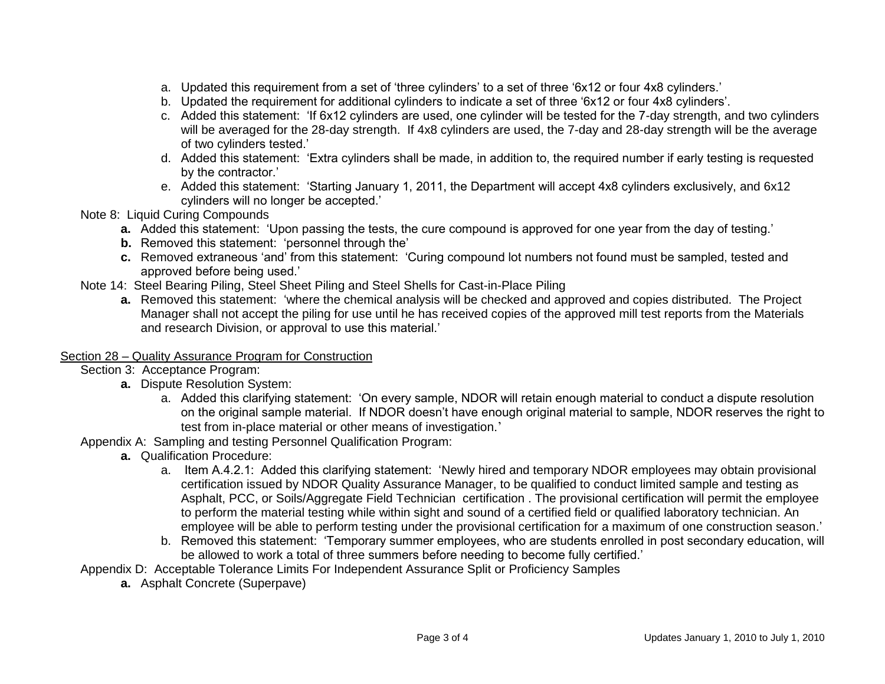- a. Updated this requirement from a set of 'three cylinders' to a set of three '6x12 or four 4x8 cylinders.'
- b. Updated the requirement for additional cylinders to indicate a set of three '6x12 or four 4x8 cylinders'.
- c. Added this statement: 'If 6x12 cylinders are used, one cylinder will be tested for the 7-day strength, and two cylinders will be averaged for the 28-day strength. If 4x8 cylinders are used, the 7-day and 28-day strength will be the average of two cylinders tested.'
- d. Added this statement: 'Extra cylinders shall be made, in addition to, the required number if early testing is requested by the contractor.'
- e. Added this statement: 'Starting January 1, 2011, the Department will accept 4x8 cylinders exclusively, and 6x12 cylinders will no longer be accepted.'
- Note 8: Liquid Curing Compounds
	- **a.** Added this statement: 'Upon passing the tests, the cure compound is approved for one year from the day of testing.'
	- **b.** Removed this statement: 'personnel through the'
	- **c.** Removed extraneous 'and' from this statement: 'Curing compound lot numbers not found must be sampled, tested and approved before being used.'
- Note 14: Steel Bearing Piling, Steel Sheet Piling and Steel Shells for Cast-in-Place Piling
	- **a.** Removed this statement: 'where the chemical analysis will be checked and approved and copies distributed. The Project Manager shall not accept the piling for use until he has received copies of the approved mill test reports from the Materials and research Division, or approval to use this material.'

# Section 28 – Quality Assurance Program for Construction

Section 3: Acceptance Program:

- **a.** Dispute Resolution System:
	- a. Added this clarifying statement: 'On every sample, NDOR will retain enough material to conduct a dispute resolution on the original sample material. If NDOR doesn't have enough original material to sample, NDOR reserves the right to test from in-place material or other means of investigation.'

Appendix A: Sampling and testing Personnel Qualification Program:

- **a.** Qualification Procedure:
	- a. Item A.4.2.1: Added this clarifying statement: 'Newly hired and temporary NDOR employees may obtain provisional certification issued by NDOR Quality Assurance Manager, to be qualified to conduct limited sample and testing as Asphalt, PCC, or Soils/Aggregate Field Technician certification . The provisional certification will permit the employee to perform the material testing while within sight and sound of a certified field or qualified laboratory technician. An employee will be able to perform testing under the provisional certification for a maximum of one construction season.'
	- b. Removed this statement: 'Temporary summer employees, who are students enrolled in post secondary education, will be allowed to work a total of three summers before needing to become fully certified.'

Appendix D: Acceptable Tolerance Limits For Independent Assurance Split or Proficiency Samples

**a.** Asphalt Concrete (Superpave)